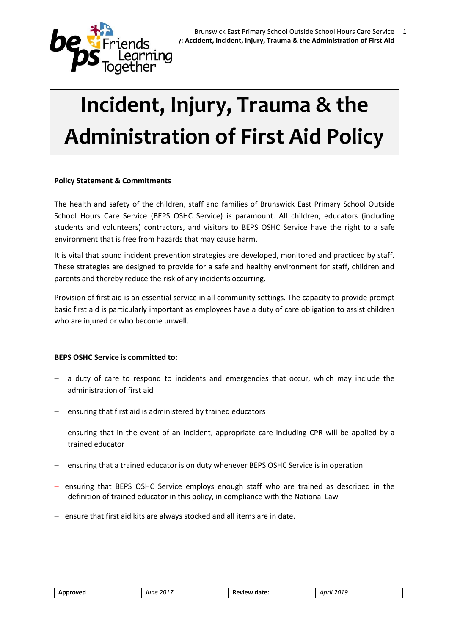

# **Incident, Injury, Trauma & the Administration of First Aid Policy**

# **Policy Statement & Commitments**

The health and safety of the children, staff and families of Brunswick East Primary School Outside School Hours Care Service (BEPS OSHC Service) is paramount. All children, educators (including students and volunteers) contractors, and visitors to BEPS OSHC Service have the right to a safe environment that is free from hazards that may cause harm.

It is vital that sound incident prevention strategies are developed, monitored and practiced by staff. These strategies are designed to provide for a safe and healthy environment for staff, children and parents and thereby reduce the risk of any incidents occurring.

Provision of first aid is an essential service in all community settings. The capacity to provide prompt basic first aid is particularly important as employees have a duty of care obligation to assist children who are injured or who become unwell.

## **BEPS OSHC Service is committed to:**

- a duty of care to respond to incidents and emergencies that occur, which may include the administration of first aid
- ensuring that first aid is administered by trained educators
- ensuring that in the event of an incident, appropriate care including CPR will be applied by a trained educator
- ensuring that a trained educator is on duty whenever BEPS OSHC Service is in operation
- ensuring that BEPS OSHC Service employs enough staff who are trained as described in the definition of trained educator in this policy, in compliance with the National Law
- $-$  ensure that first aid kits are always stocked and all items are in date.

| Approveo | 2017<br>June | date:<br>КP<br>эν.<br>. | $\sim$<br>.<br>2015<br>$\sim$<br>.<br>__ |
|----------|--------------|-------------------------|------------------------------------------|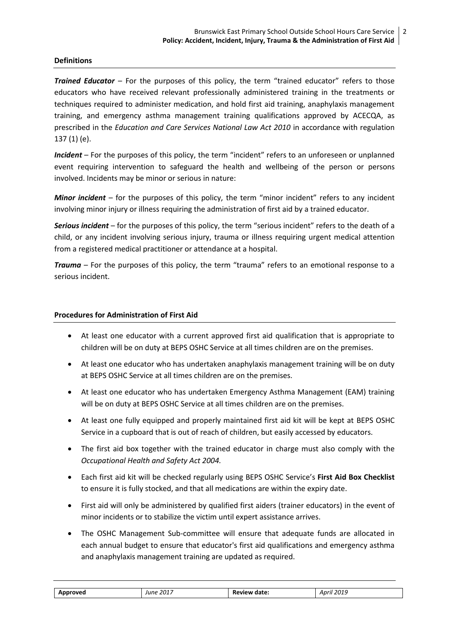## **Definitions**

**Trained Educator** – For the purposes of this policy, the term "trained educator" refers to those educators who have received relevant professionally administered training in the treatments or techniques required to administer medication, and hold first aid training, anaphylaxis management training, and emergency asthma management training qualifications approved by ACECQA, as prescribed in the *Education and Care Services National Law Act 2010* in accordance with regulation 137 (1) (e).

*Incident* – For the purposes of this policy, the term "incident" refers to an unforeseen or unplanned event requiring intervention to safeguard the health and wellbeing of the person or persons involved. Incidents may be minor or serious in nature:

*Minor incident* – for the purposes of this policy, the term "minor incident" refers to any incident involving minor injury or illness requiring the administration of first aid by a trained educator.

*Serious incident* – for the purposes of this policy, the term "serious incident" refers to the death of a child, or any incident involving serious injury, trauma or illness requiring urgent medical attention from a registered medical practitioner or attendance at a hospital.

*Trauma* – For the purposes of this policy, the term "trauma" refers to an emotional response to a serious incident.

## **Procedures for Administration of First Aid**

- At least one educator with a current approved first aid qualification that is appropriate to children will be on duty at BEPS OSHC Service at all times children are on the premises.
- At least one educator who has undertaken anaphylaxis management training will be on duty at BEPS OSHC Service at all times children are on the premises.
- At least one educator who has undertaken Emergency Asthma Management (EAM) training will be on duty at BEPS OSHC Service at all times children are on the premises.
- At least one fully equipped and properly maintained first aid kit will be kept at BEPS OSHC Service in a cupboard that is out of reach of children, but easily accessed by educators.
- The first aid box together with the trained educator in charge must also comply with the *Occupational Health and Safety Act 2004.*
- Each first aid kit will be checked regularly using BEPS OSHC Service's **First Aid Box Checklist** to ensure it is fully stocked, and that all medications are within the expiry date.
- First aid will only be administered by qualified first aiders (trainer educators) in the event of minor incidents or to stabilize the victim until expert assistance arrives.
- The OSHC Management Sub-committee will ensure that adequate funds are allocated in each annual budget to ensure that educator's first aid qualifications and emergency asthma and anaphylaxis management training are updated as required.

| Approved | . 2017<br>June | Review date: | 2019<br>April |
|----------|----------------|--------------|---------------|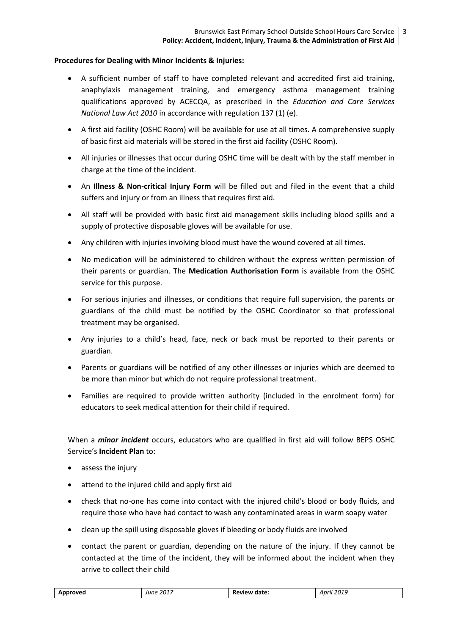## **Procedures for Dealing with Minor Incidents & Injuries:**

- A sufficient number of staff to have completed relevant and accredited first aid training, anaphylaxis management training, and emergency asthma management training qualifications approved by ACECQA, as prescribed in the *Education and Care Services National Law Act 2010* in accordance with regulation 137 (1) (e).
- A first aid facility (OSHC Room) will be available for use at all times. A comprehensive supply of basic first aid materials will be stored in the first aid facility (OSHC Room).
- All injuries or illnesses that occur during OSHC time will be dealt with by the staff member in charge at the time of the incident.
- An **Illness & Non-critical Injury Form** will be filled out and filed in the event that a child suffers and injury or from an illness that requires first aid.
- All staff will be provided with basic first aid management skills including blood spills and a supply of protective disposable gloves will be available for use.
- Any children with injuries involving blood must have the wound covered at all times.
- No medication will be administered to children without the express written permission of their parents or guardian. The **Medication Authorisation Form** is available from the OSHC service for this purpose.
- For serious injuries and illnesses, or conditions that require full supervision, the parents or guardians of the child must be notified by the OSHC Coordinator so that professional treatment may be organised.
- Any injuries to a child's head, face, neck or back must be reported to their parents or guardian.
- Parents or guardians will be notified of any other illnesses or injuries which are deemed to be more than minor but which do not require professional treatment.
- Families are required to provide written authority (included in the enrolment form) for educators to seek medical attention for their child if required.

When a *minor incident* occurs, educators who are qualified in first aid will follow BEPS OSHC Service's **Incident Plan** to:

- assess the injury
- attend to the injured child and apply first aid
- check that no-one has come into contact with the injured child's blood or body fluids, and require those who have had contact to wash any contaminated areas in warm soapy water
- clean up the spill using disposable gloves if bleeding or body fluids are involved
- contact the parent or guardian, depending on the nature of the injury. If they cannot be contacted at the time of the incident, they will be informed about the incident when they arrive to collect their child

| Approved | 2017<br>June<br>. | v date.<br>:view<br>nt<br>.<br>______ | ากาเ<br>April<br>-401-<br>_____ |
|----------|-------------------|---------------------------------------|---------------------------------|
|          |                   |                                       |                                 |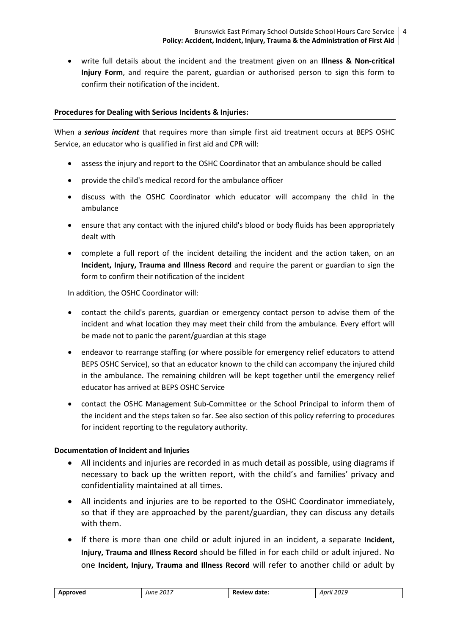write full details about the incident and the treatment given on an **Illness & Non-critical Injury Form**, and require the parent, guardian or authorised person to sign this form to confirm their notification of the incident.

# **Procedures for Dealing with Serious Incidents & Injuries:**

When a *serious incident* that requires more than simple first aid treatment occurs at BEPS OSHC Service, an educator who is qualified in first aid and CPR will:

- assess the injury and report to the OSHC Coordinator that an ambulance should be called
- provide the child's medical record for the ambulance officer
- discuss with the OSHC Coordinator which educator will accompany the child in the ambulance
- ensure that any contact with the injured child's blood or body fluids has been appropriately dealt with
- complete a full report of the incident detailing the incident and the action taken, on an **Incident, Injury, Trauma and Illness Record** and require the parent or guardian to sign the form to confirm their notification of the incident

In addition, the OSHC Coordinator will:

- contact the child's parents, guardian or emergency contact person to advise them of the incident and what location they may meet their child from the ambulance. Every effort will be made not to panic the parent/guardian at this stage
- endeavor to rearrange staffing (or where possible for emergency relief educators to attend BEPS OSHC Service), so that an educator known to the child can accompany the injured child in the ambulance. The remaining children will be kept together until the emergency relief educator has arrived at BEPS OSHC Service
- contact the OSHC Management Sub-Committee or the School Principal to inform them of the incident and the steps taken so far. See also section of this policy referring to procedures for incident reporting to the regulatory authority.

# **Documentation of Incident and Injuries**

- All incidents and injuries are recorded in as much detail as possible, using diagrams if necessary to back up the written report, with the child's and families' privacy and confidentiality maintained at all times.
- All incidents and injuries are to be reported to the OSHC Coordinator immediately, so that if they are approached by the parent/guardian, they can discuss any details with them.
- If there is more than one child or adult injured in an incident, a separate **Incident, Injury, Trauma and Illness Record** should be filled in for each child or adult injured. No one **Incident, Injury, Trauma and Illness Record** will refer to another child or adult by

| $.~201^{\circ}$<br>2019<br><b>Review date:</b><br>Approved<br>April<br>June<br>____<br>_____<br>. |
|---------------------------------------------------------------------------------------------------|
|---------------------------------------------------------------------------------------------------|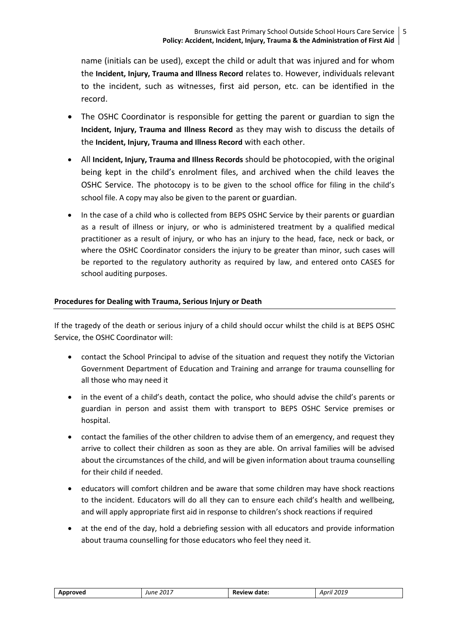name (initials can be used), except the child or adult that was injured and for whom the **Incident, Injury, Trauma and Illness Record** relates to. However, individuals relevant to the incident, such as witnesses, first aid person, etc. can be identified in the record.

- The OSHC Coordinator is responsible for getting the parent or guardian to sign the **Incident, Injury, Trauma and Illness Record** as they may wish to discuss the details of the **Incident, Injury, Trauma and Illness Record** with each other.
- All **Incident, Injury, Trauma and Illness Records** should be photocopied, with the original being kept in the child's enrolment files, and archived when the child leaves the OSHC Service. The photocopy is to be given to the school office for filing in the child's school file. A copy may also be given to the parent or guardian.
- In the case of a child who is collected from BEPS OSHC Service by their parents or guardian as a result of illness or injury, or who is administered treatment by a qualified medical practitioner as a result of injury, or who has an injury to the head, face, neck or back, or where the OSHC Coordinator considers the injury to be greater than minor, such cases will be reported to the regulatory authority as required by law, and entered onto CASES for school auditing purposes.

# **Procedures for Dealing with Trauma, Serious Injury or Death**

If the tragedy of the death or serious injury of a child should occur whilst the child is at BEPS OSHC Service, the OSHC Coordinator will:

- contact the School Principal to advise of the situation and request they notify the Victorian Government Department of Education and Training and arrange for trauma counselling for all those who may need it
- in the event of a child's death, contact the police, who should advise the child's parents or guardian in person and assist them with transport to BEPS OSHC Service premises or hospital.
- contact the families of the other children to advise them of an emergency, and request they arrive to collect their children as soon as they are able. On arrival families will be advised about the circumstances of the child, and will be given information about trauma counselling for their child if needed.
- educators will comfort children and be aware that some children may have shock reactions to the incident. Educators will do all they can to ensure each child's health and wellbeing, and will apply appropriate first aid in response to children's shock reactions if required
- at the end of the day, hold a debriefing session with all educators and provide information about trauma counselling for those educators who feel they need it.

| Approved | 2017<br>June | Review date: | 2019<br>Aprıl<br>__ |
|----------|--------------|--------------|---------------------|
|----------|--------------|--------------|---------------------|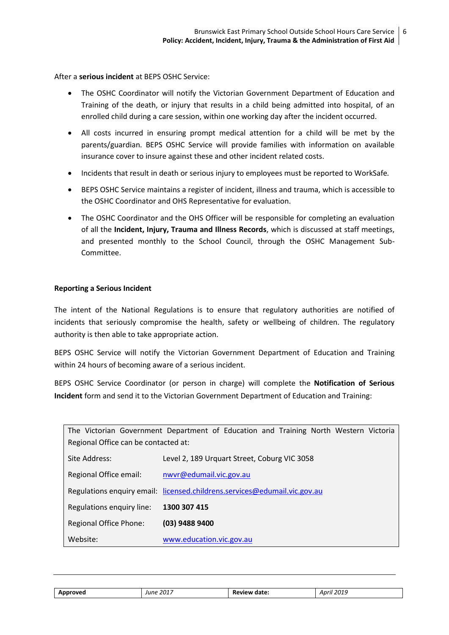After a **serious incident** at BEPS OSHC Service:

- The OSHC Coordinator will notify the Victorian Government Department of Education and Training of the death, or injury that results in a child being admitted into hospital, of an enrolled child during a care session, within one working day after the incident occurred.
- All costs incurred in ensuring prompt medical attention for a child will be met by the parents/guardian. BEPS OSHC Service will provide families with information on available insurance cover to insure against these and other incident related costs.
- Incidents that result in death or serious injury to employees must be reported to WorkSafe*.*
- BEPS OSHC Service maintains a register of incident, illness and trauma, which is accessible to the OSHC Coordinator and OHS Representative for evaluation.
- The OSHC Coordinator and the OHS Officer will be responsible for completing an evaluation of all the **Incident, Injury, Trauma and Illness Records**, which is discussed at staff meetings, and presented monthly to the School Council, through the OSHC Management Sub-Committee.

## **Reporting a Serious Incident**

The intent of the National Regulations is to ensure that regulatory authorities are notified of incidents that seriously compromise the health, safety or wellbeing of children. The regulatory authority is then able to take appropriate action.

BEPS OSHC Service will notify the Victorian Government Department of Education and Training within 24 hours of becoming aware of a serious incident.

BEPS OSHC Service Coordinator (or person in charge) will complete the **Notification of Serious Incident** form and send it to the Victorian Government Department of Education and Training:

| Regional Office can be contacted at: | The Victorian Government Department of Education and Training North Western Victoria |
|--------------------------------------|--------------------------------------------------------------------------------------|
| Site Address:                        | Level 2, 189 Urquart Street, Coburg VIC 3058                                         |
| Regional Office email:               | nwyr@edumail.vic.gov.au                                                              |
|                                      | Regulations enquiry email: licensed.childrens.services@edumail.vic.gov.au            |
| Regulations enquiry line:            | 1300 307 415                                                                         |
| Regional Office Phone:               | (03) 9488 9400                                                                       |
| Website:                             | www.education.vic.gov.au                                                             |

| Approved | June 2017 | <b>Review date:</b> | April 2019 |
|----------|-----------|---------------------|------------|